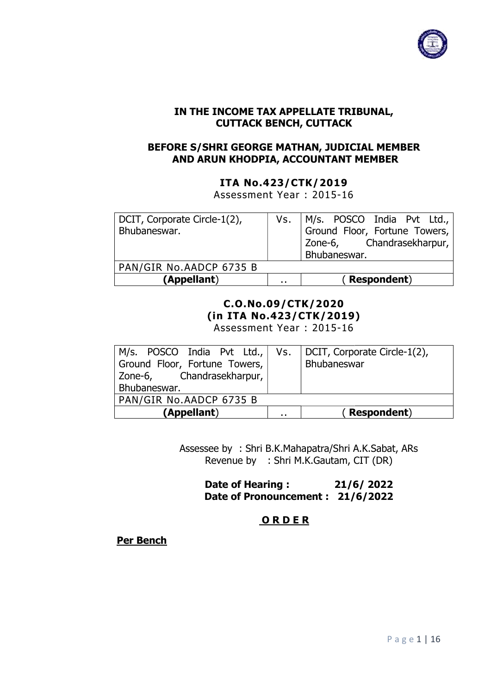

## IN THE INCOME TAX APPELLATE TRIBUNAL, IN APPELLATE CUTTACK BENCH, CUTTACK

#### BEFORE S/SHRI GEORGE MATHAN, JUDICIAL JUDICIAL MEMBER AND ARUN KHODPIA, ACCOUNTANT MEMBER

#### ITA No.423/CTK/2019

Assessment Year : 2015-16

| Bhubaneswar.<br>PAN/GIR No.AADCP 6735 B |        | Vs. $M/s$ . POSCO India Pvt Ltd., Ground Floor, Fortune Towers,<br>Zone-6, Chandrasekharpur,<br>Bhubaneswar. |
|-----------------------------------------|--------|--------------------------------------------------------------------------------------------------------------|
| (Appellant)                             | $\sim$ | (Respondent)                                                                                                 |

#### C.O.No.09/CTK/2020 (in ITA No.423/CTK/2019) Assessment Year : 2015-16

| M/s. POSCO India Pvt Ltd.,   Vs.   DCIT, Corporate Circle-1(2), |                      |              |
|-----------------------------------------------------------------|----------------------|--------------|
| Ground Floor, Fortune Towers,                                   |                      | Bhubaneswar  |
| Zone-6, Chandrasekharpur,                                       |                      |              |
| Bhubaneswar.                                                    |                      |              |
| PAN/GIR No.AADCP 6735 B                                         |                      |              |
| (Appellant)                                                     | $\ddot{\phantom{a}}$ | (Respondent) |

Assessee by : Shri B.K.Mahapatra/Shri A.K.Sabat A.K.Sabat, ARs Revenue by : Shri M.K.Gautam, CIT ( (DR)

> Date of Hearing : Date of Pronouncement : 21/6/2022 6/ 2022

#### **ORDER**

Per Bench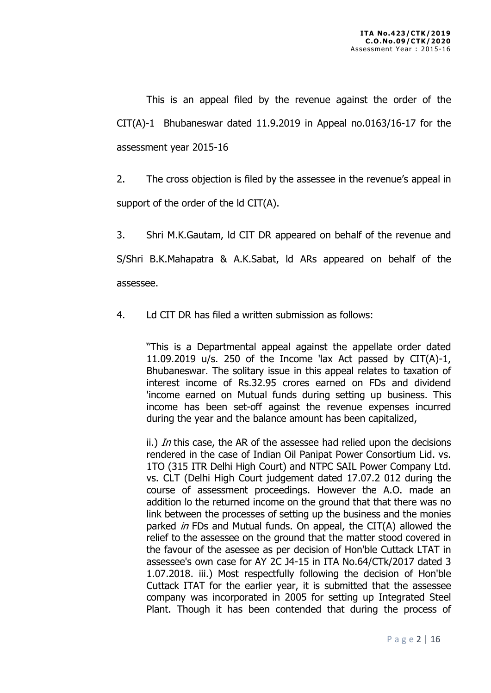This is an appeal filed by the revenue against the order of the CIT(A)-1 Bhubaneswar dated 11.9.2019 in Appeal no.0163/16-17 for the assessment year 2015-16

2. The cross objection is filed by the assessee in the revenue's appeal in support of the order of the ld CIT(A).

3. Shri M.K.Gautam, ld CIT DR appeared on behalf of the revenue and S/Shri B.K.Mahapatra & A.K.Sabat, ld ARs appeared on behalf of the assessee.

4. Ld CIT DR has filed a written submission as follows:

"This is a Departmental appeal against the appellate order dated 11.09.2019 u/s. 250 of the Income 'lax Act passed by  $CIT(A)-1$ , Bhubaneswar. The solitary issue in this appeal relates to taxation of interest income of Rs.32.95 crores earned on FDs and dividend 'income earned on Mutual funds during setting up business. This income has been set-off against the revenue expenses incurred during the year and the balance amount has been capitalized,

ii.) In this case, the AR of the assessee had relied upon the decisions rendered in the case of Indian Oil Panipat Power Consortium Lid. vs. 1TO (315 ITR Delhi High Court) and NTPC SAIL Power Company Ltd. vs. CLT (Delhi High Court judgement dated 17.07.2 012 during the course of assessment proceedings. However the A.O. made an addition lo the returned income on the ground that that there was no link between the processes of setting up the business and the monies parked *in* FDs and Mutual funds. On appeal, the CIT(A) allowed the relief to the assessee on the ground that the matter stood covered in the favour of the asessee as per decision of Hon'ble Cuttack LTAT in assessee's own case for AY 2C J4-15 in ITA No.64/CTk/2017 dated 3 1.07.2018. iii.) Most respectfully following the decision of Hon'ble Cuttack ITAT for the earlier year, it is submitted that the assessee company was incorporated in 2005 for setting up Integrated Steel Plant. Though it has been contended that during the process of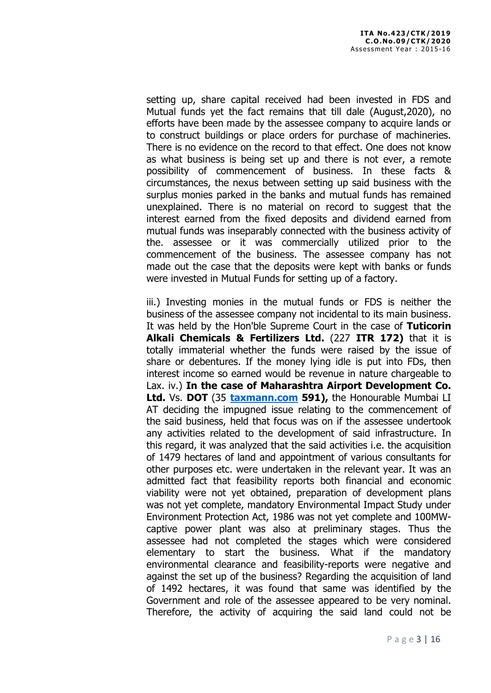setting up, share capital received had been invested in FDS and Mutual funds yet the fact remains that till dale (August,2020), no efforts have been made by the assessee company to acquire lands or to construct buildings or place orders for purchase of machineries. There is no evidence on the record to that effect. One does not know as what business is being set up and there is not ever, a remote possibility of commencement of business. In these facts & circumstances, the nexus between setting up said business with the surplus monies parked in the banks and mutual funds has remained unexplained. There is no material on record to suggest that the interest earned from the fixed deposits and dividend earned from mutual funds was inseparably connected with the business activity of the. assessee or it was commercially utilized prior to the commencement of the business. The assessee company has not made out the case that the deposits were kept with banks or funds were invested in Mutual Funds for setting up of a factory.

iii.) Investing monies in the mutual funds or FDS is neither the business of the assessee company not incidental to its main business. It was held by the Hon'ble Supreme Court in the case of Tuticorin Alkali Chemicals & Fertilizers Ltd. (227 ITR 172) that it is totally immaterial whether the funds were raised by the issue of share or debentures. If the money lying idle is put into FDs, then interest income so earned would be revenue in nature chargeable to Lax. iv.) In the case of Maharashtra Airport Development Co. Ltd. Vs. DOT (35 taxmann.com 591), the Honourable Mumbai LI AT deciding the impugned issue relating to the commencement of the said business, held that focus was on if the assessee undertook any activities related to the development of said infrastructure. In this regard, it was analyzed that the said activities i.e. the acquisition of 1479 hectares of land and appointment of various consultants for other purposes etc. were undertaken in the relevant year. It was an admitted fact that feasibility reports both financial and economic viability were not yet obtained, preparation of development plans was not yet complete, mandatory Environmental Impact Study under Environment Protection Act, 1986 was not yet complete and 100MWcaptive power plant was also at preliminary stages. Thus the assessee had not completed the stages which were considered elementary to start the business. What if the mandatory environmental clearance and feasibility-reports were negative and against the set up of the business? Regarding the acquisition of land of 1492 hectares, it was found that same was identified by the Government and role of the assessee appeared to be very nominal. Therefore, the activity of acquiring the said land could not be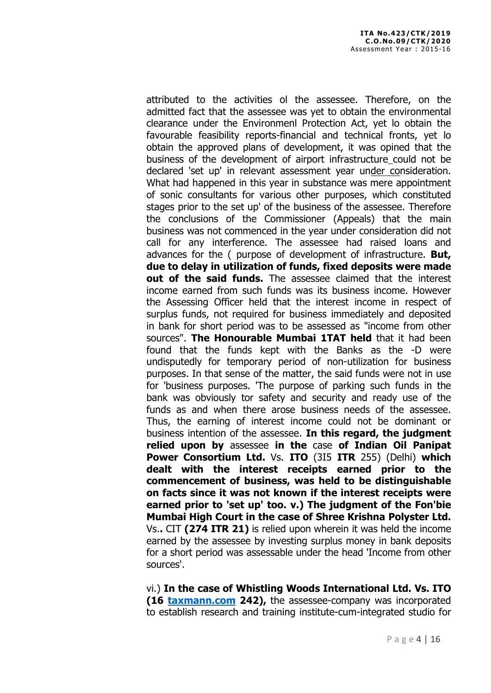attributed to the activities ol the assessee. Therefore, on the admitted fact that the assessee was yet to obtain the environmental clearance under the Environmenl Protection Act, yet lo obtain the favourable feasibility reports-financial and technical fronts, yet lo obtain the approved plans of development, it was opined that the business of the development of airport infrastructure could not be declared 'set up' in relevant assessment year under consideration. What had happened in this year in substance was mere appointment of sonic consultants for various other purposes, which constituted stages prior to the set up' of the business of the assessee. Therefore the conclusions of the Commissioner (Appeals) that the main business was not commenced in the year under consideration did not call for any interference. The assessee had raised loans and advances for the ( purpose of development of infrastructure. **But,** due to delay in utilization of funds, fixed deposits were made out of the said funds. The assessee claimed that the interest income earned from such funds was its business income. However the Assessing Officer held that the interest income in respect of surplus funds, not required for business immediately and deposited in bank for short period was to be assessed as "income from other sources". The Honourable Mumbai 1TAT held that it had been found that the funds kept with the Banks as the -D were undisputedly for temporary period of non-utilization for business purposes. In that sense of the matter, the said funds were not in use for 'business purposes. 'The purpose of parking such funds in the bank was obviously tor safety and security and ready use of the funds as and when there arose business needs of the assessee. Thus, the earning of interest income could not be dominant or business intention of the assessee. In this regard, the judgment relied upon by assessee in the case of Indian Oil Panipat Power Consortium Ltd. Vs. ITO (315 ITR 255) (Delhi) which dealt with the interest receipts earned prior to the commencement of business, was held to be distinguishable on facts since it was not known if the interest receipts were earned prior to 'set up' too. v.) The judgment of the Fon'bie Mumbai High Court in the case of Shree Krishna Polyster Ltd. Vs.. CIT (274 ITR 21) is relied upon wherein it was held the income earned by the assessee by investing surplus money in bank deposits for a short period was assessable under the head 'Income from other sources'.

vi.) In the case of Whistling Woods International Ltd. Vs. ITO (16 taxmann.com 242), the assessee-company was incorporated to establish research and training institute-cum-integrated studio for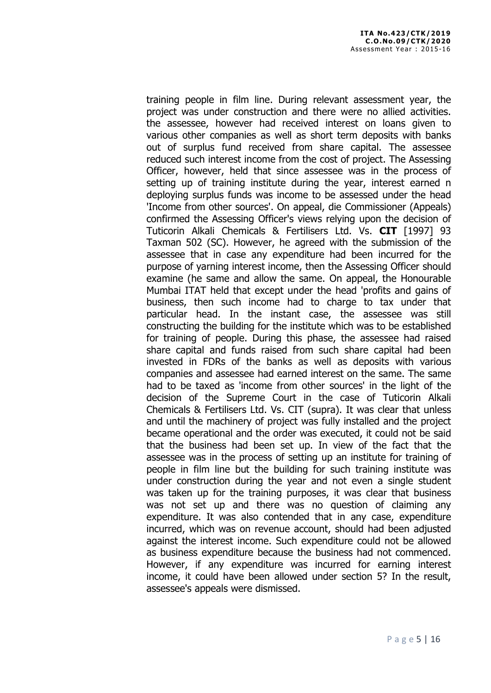training people in film line. During relevant assessment year, the project was under construction and there were no allied activities. the assessee, however had received interest on loans given to various other companies as well as short term deposits with banks out of surplus fund received from share capital. The assessee reduced such interest income from the cost of project. The Assessing Officer, however, held that since assessee was in the process of setting up of training institute during the year, interest earned n deploying surplus funds was income to be assessed under the head 'Income from other sources'. On appeal, die Commissioner (Appeals) confirmed the Assessing Officer's views relying upon the decision of Tuticorin Alkali Chemicals & Fertilisers Ltd. Vs. CIT [1997] 93 Taxman 502 (SC). However, he agreed with the submission of the assessee that in case any expenditure had been incurred for the purpose of yarning interest income, then the Assessing Officer should examine (he same and allow the same. On appeal, the Honourable Mumbai ITAT held that except under the head 'profits and gains of business, then such income had to charge to tax under that particular head. In the instant case, the assessee was still constructing the building for the institute which was to be established for training of people. During this phase, the assessee had raised share capital and funds raised from such share capital had been invested in FDRs of the banks as well as deposits with various companies and assessee had earned interest on the same. The same had to be taxed as 'income from other sources' in the light of the decision of the Supreme Court in the case of Tuticorin Alkali Chemicals & Fertilisers Ltd. Vs. CIT (supra). It was clear that unless and until the machinery of project was fully installed and the project became operational and the order was executed, it could not be said that the business had been set up. In view of the fact that the assessee was in the process of setting up an institute for training of people in film line but the building for such training institute was under construction during the year and not even a single student was taken up for the training purposes, it was clear that business was not set up and there was no question of claiming any expenditure. It was also contended that in any case, expenditure incurred, which was on revenue account, should had been adjusted against the interest income. Such expenditure could not be allowed as business expenditure because the business had not commenced. However, if any expenditure was incurred for earning interest income, it could have been allowed under section 5? In the result, assessee's appeals were dismissed.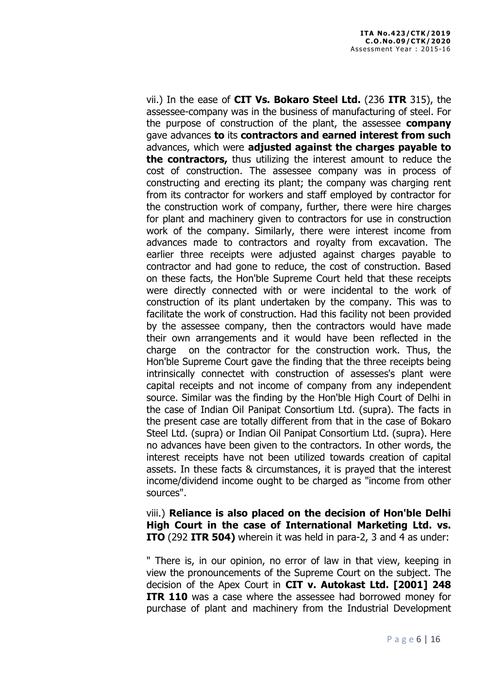vii.) In the ease of CIT Vs. Bokaro Steel Ltd. (236 ITR 315), the assessee-company was in the business of manufacturing of steel. For the purpose of construction of the plant, the assessee **company** gave advances to its contractors and earned interest from such advances, which were adjusted against the charges payable to the contractors, thus utilizing the interest amount to reduce the cost of construction. The assessee company was in process of constructing and erecting its plant; the company was charging rent from its contractor for workers and staff employed by contractor for the construction work of company, further, there were hire charges for plant and machinery given to contractors for use in construction work of the company. Similarly, there were interest income from advances made to contractors and royalty from excavation. The earlier three receipts were adjusted against charges payable to contractor and had gone to reduce, the cost of construction. Based on these facts, the Hon'ble Supreme Court held that these receipts were directly connected with or were incidental to the work of construction of its plant undertaken by the company. This was to facilitate the work of construction. Had this facility not been provided by the assessee company, then the contractors would have made their own arrangements and it would have been reflected in the charge on the contractor for the construction work. Thus, the Hon'ble Supreme Court gave the finding that the three receipts being intrinsically connectet with construction of assesses's plant were capital receipts and not income of company from any independent source. Similar was the finding by the Hon'ble High Court of Delhi in the case of Indian Oil Panipat Consortium Ltd. (supra). The facts in the present case are totally different from that in the case of Bokaro Steel Ltd. (supra) or Indian Oil Panipat Consortium Ltd. (supra). Here no advances have been given to the contractors. In other words, the interest receipts have not been utilized towards creation of capital assets. In these facts & circumstances, it is prayed that the interest income/dividend income ought to be charged as "income from other sources".

viii.) Reliance is also placed on the decision of Hon'ble Delhi High Court in the case of International Marketing Ltd. vs. ITO (292 ITR 504) wherein it was held in para-2, 3 and 4 as under:

" There is, in our opinion, no error of law in that view, keeping in view the pronouncements of the Supreme Court on the subject. The decision of the Apex Court in CIT v. Autokast Ltd. [2001] 248 **ITR 110** was a case where the assessee had borrowed money for purchase of plant and machinery from the Industrial Development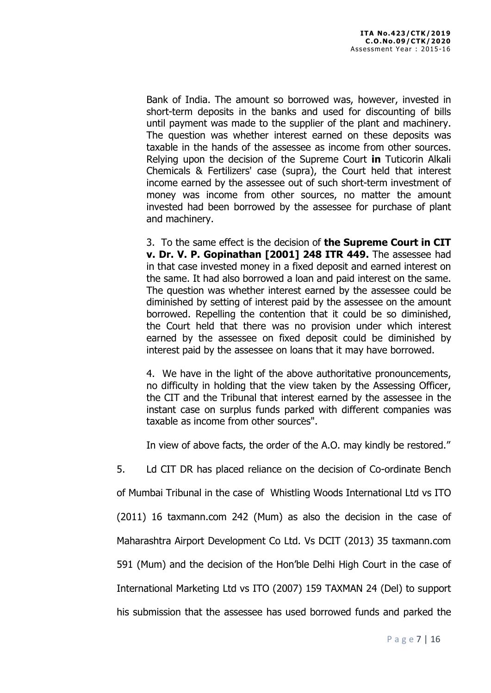Bank of India. The amount so borrowed was, however, invested in short-term deposits in the banks and used for discounting of bills until payment was made to the supplier of the plant and machinery. The question was whether interest earned on these deposits was taxable in the hands of the assessee as income from other sources. Relying upon the decision of the Supreme Court in Tuticorin Alkali Chemicals & Fertilizers' case (supra), the Court held that interest income earned by the assessee out of such short-term investment of money was income from other sources, no matter the amount invested had been borrowed by the assessee for purchase of plant and machinery.

3. To the same effect is the decision of the Supreme Court in CIT v. Dr. V. P. Gopinathan [2001] 248 ITR 449. The assessee had in that case invested money in a fixed deposit and earned interest on the same. It had also borrowed a loan and paid interest on the same. The question was whether interest earned by the assessee could be diminished by setting of interest paid by the assessee on the amount borrowed. Repelling the contention that it could be so diminished, the Court held that there was no provision under which interest earned by the assessee on fixed deposit could be diminished by interest paid by the assessee on loans that it may have borrowed.

4. We have in the light of the above authoritative pronouncements, no difficulty in holding that the view taken by the Assessing Officer, the CIT and the Tribunal that interest earned by the assessee in the instant case on surplus funds parked with different companies was taxable as income from other sources".

In view of above facts, the order of the A.O. may kindly be restored."

5. Ld CIT DR has placed reliance on the decision of Co-ordinate Bench

of Mumbai Tribunal in the case of Whistling Woods International Ltd vs ITO

(2011) 16 taxmann.com 242 (Mum) as also the decision in the case of

Maharashtra Airport Development Co Ltd. Vs DCIT (2013) 35 taxmann.com

591 (Mum) and the decision of the Hon'ble Delhi High Court in the case of

International Marketing Ltd vs ITO (2007) 159 TAXMAN 24 (Del) to support

his submission that the assessee has used borrowed funds and parked the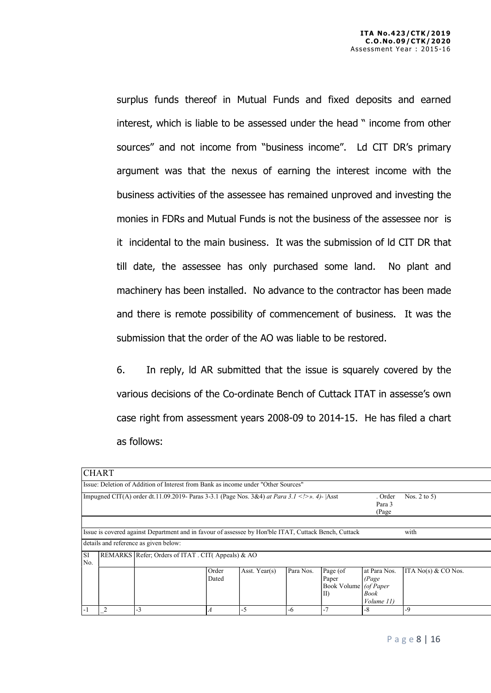surplus funds thereof in Mutual Funds and fixed deposits and earned interest, which is liable to be assessed under the head " income from other sources" and not income from "business income". Ld CIT DR's primary argument was that the nexus of earning the interest income with the business activities of the assessee has remained unproved and investing the monies in FDRs and Mutual Funds is not the business of the assessee nor is it incidental to the main business. It was the submission of ld CIT DR that till date, the assessee has only purchased some land. No plant and machinery has been installed. No advance to the contractor has been made and there is remote possibility of commencement of business. It was the submission that the order of the AO was liable to be restored.

6. In reply, ld AR submitted that the issue is squarely covered by the various decisions of the Co-ordinate Bench of Cuttack ITAT in assesse's own case right from assessment years 2008-09 to 2014-15. He has filed a chart as follows:

|                                                                                                                           | <b>CHART</b>   |                                                                                                                                                |                |               |           |                                                           |                                              |                       |  |
|---------------------------------------------------------------------------------------------------------------------------|----------------|------------------------------------------------------------------------------------------------------------------------------------------------|----------------|---------------|-----------|-----------------------------------------------------------|----------------------------------------------|-----------------------|--|
| Issue: Deletion of Addition of Interest from Bank as income under "Other Sources"                                         |                |                                                                                                                                                |                |               |           |                                                           |                                              |                       |  |
| Impugned CIT(A) order dt.11.09.2019- Paras 3-3.1 (Page Nos. 3&4) at Para 3.1  >>. 4)-  Asst<br>. Order<br>Para 3<br>(Page |                |                                                                                                                                                |                |               |           | Nos. $2$ to $5$ )                                         |                                              |                       |  |
|                                                                                                                           |                | Issue is covered against Department and in favour of assessee by Hon'ble ITAT, Cuttack Bench, Cuttack<br>details and reference as given below: |                |               |           |                                                           |                                              | with                  |  |
| lsi<br>REMARKS Refer; Orders of ITAT. CIT(Appeals) & AO<br>No.                                                            |                |                                                                                                                                                |                |               |           |                                                           |                                              |                       |  |
|                                                                                                                           |                |                                                                                                                                                | Order<br>Dated | Asst. Year(s) | Para Nos. | Page (of<br>Paper<br>Book Volume   (of Paper<br>$\rm{II}$ | at Para Nos.<br>(Page)<br>Book<br>Volume 11) | ITA $No(s)$ & CO Nos. |  |
| $\mathbf{-}$                                                                                                              | $\overline{c}$ | $-3$                                                                                                                                           | А              | -5            | -6        |                                                           | $-8$                                         | $-9$                  |  |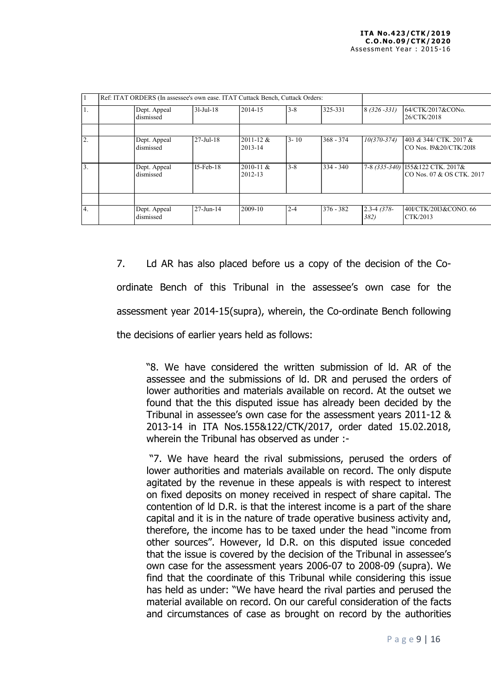|    |                           | Ref: ITAT ORDERS (In assessee's own ease. ITAT Cuttack Bench, Cuttack Orders: |                          |          |             |                         |                                                                |
|----|---------------------------|-------------------------------------------------------------------------------|--------------------------|----------|-------------|-------------------------|----------------------------------------------------------------|
| I. | Dept. Appeal<br>dismissed | $31-Ju1-18$                                                                   | 2014-15                  | $3 - 8$  | 325-331     | $8(326 - 331)$          | 164/CTK/2017&CONo.<br>26/CTK/2018                              |
|    |                           | $27 - \text{Jul} - 18$                                                        | $2011 - 12 \&$           | $3 - 10$ | $368 - 374$ |                         |                                                                |
| 2. | Dept. Appeal<br>dismissed |                                                                               | 2013-14                  |          |             | $10(370 - 374)$         | 1403 & 344/ CTK. 2017 &<br>ICO Nos. 19&20/CTK/2018             |
| 3. | Dept. Appeal<br>dismissed | $I5$ -Feb- $18$                                                               | $2010 - 11$ &<br>2012-13 | $3 - 8$  | $334 - 340$ |                         | 7-8 (335-340) 155&122 CTK. 2017&<br>ICO Nos. 07 & OS CTK. 2017 |
|    |                           |                                                                               |                          |          |             |                         |                                                                |
| 4. | Dept. Appeal<br>dismissed | $27 - Jun - 14$                                                               | 2009-10                  | $2 - 4$  | $376 - 382$ | $2.3 - 4$ (378-<br>382) | 40I/CTK/20I3&CONO. 66<br>CTK/2013                              |

7. Ld AR has also placed before us a copy of the decision of the Coordinate Bench of this Tribunal in the assessee's own case for the assessment year 2014-15(supra), wherein, the Co-ordinate Bench following the decisions of earlier years held as follows:

"8. We have considered the written submission of ld. AR of the assessee and the submissions of ld. DR and perused the orders of lower authorities and materials available on record. At the outset we found that the this disputed issue has already been decided by the Tribunal in assessee's own case for the assessment years 2011-12 & 2013-14 in ITA Nos.155&122/CTK/2017, order dated 15.02.2018, wherein the Tribunal has observed as under :-

 "7. We have heard the rival submissions, perused the orders of lower authorities and materials available on record. The only dispute agitated by the revenue in these appeals is with respect to interest on fixed deposits on money received in respect of share capital. The contention of ld D.R. is that the interest income is a part of the share capital and it is in the nature of trade operative business activity and, therefore, the income has to be taxed under the head "income from other sources". However, ld D.R. on this disputed issue conceded that the issue is covered by the decision of the Tribunal in assessee's own case for the assessment years 2006-07 to 2008-09 (supra). We find that the coordinate of this Tribunal while considering this issue has held as under: "We have heard the rival parties and perused the material available on record. On our careful consideration of the facts and circumstances of case as brought on record by the authorities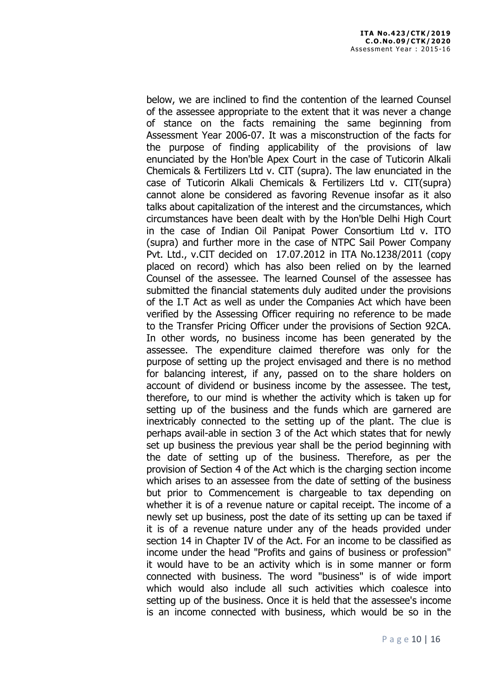below, we are inclined to find the contention of the learned Counsel of the assessee appropriate to the extent that it was never a change of stance on the facts remaining the same beginning from Assessment Year 2006-07. It was a misconstruction of the facts for the purpose of finding applicability of the provisions of law enunciated by the Hon'ble Apex Court in the case of Tuticorin Alkali Chemicals & Fertilizers Ltd v. CIT (supra). The law enunciated in the case of Tuticorin Alkali Chemicals & Fertilizers Ltd v. CIT(supra) cannot alone be considered as favoring Revenue insofar as it also talks about capitalization of the interest and the circumstances, which circumstances have been dealt with by the Hon'ble Delhi High Court in the case of Indian Oil Panipat Power Consortium Ltd v. ITO (supra) and further more in the case of NTPC Sail Power Company Pvt. Ltd., v.CIT decided on 17.07.2012 in ITA No.1238/2011 (copy placed on record) which has also been relied on by the learned Counsel of the assessee. The learned Counsel of the assessee has submitted the financial statements duly audited under the provisions of the I.T Act as well as under the Companies Act which have been verified by the Assessing Officer requiring no reference to be made to the Transfer Pricing Officer under the provisions of Section 92CA. In other words, no business income has been generated by the assessee. The expenditure claimed therefore was only for the purpose of setting up the project envisaged and there is no method for balancing interest, if any, passed on to the share holders on account of dividend or business income by the assessee. The test, therefore, to our mind is whether the activity which is taken up for setting up of the business and the funds which are garnered are inextricably connected to the setting up of the plant. The clue is perhaps avail-able in section 3 of the Act which states that for newly set up business the previous year shall be the period beginning with the date of setting up of the business. Therefore, as per the provision of Section 4 of the Act which is the charging section income which arises to an assessee from the date of setting of the business but prior to Commencement is chargeable to tax depending on whether it is of a revenue nature or capital receipt. The income of a newly set up business, post the date of its setting up can be taxed if it is of a revenue nature under any of the heads provided under section 14 in Chapter IV of the Act. For an income to be classified as income under the head "Profits and gains of business or profession" it would have to be an activity which is in some manner or form connected with business. The word "business" is of wide import which would also include all such activities which coalesce into setting up of the business. Once it is held that the assessee's income is an income connected with business, which would be so in the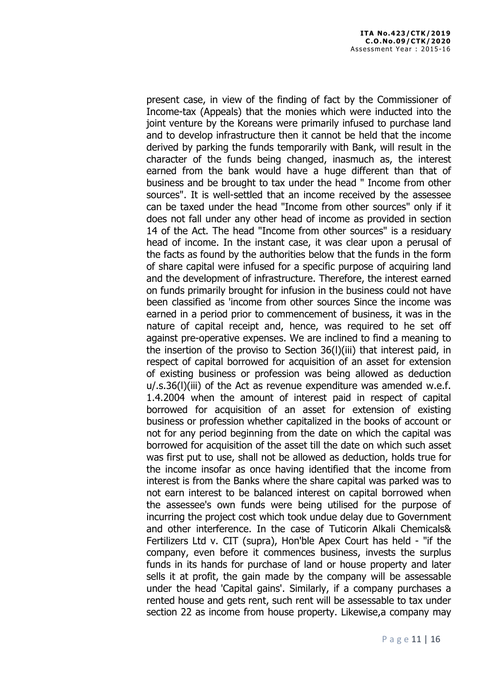present case, in view of the finding of fact by the Commissioner of Income-tax (Appeals) that the monies which were inducted into the joint venture by the Koreans were primarily infused to purchase land and to develop infrastructure then it cannot be held that the income derived by parking the funds temporarily with Bank, will result in the character of the funds being changed, inasmuch as, the interest earned from the bank would have a huge different than that of business and be brought to tax under the head " Income from other sources". It is well-settled that an income received by the assessee can be taxed under the head "Income from other sources" only if it does not fall under any other head of income as provided in section 14 of the Act. The head "Income from other sources" is a residuary head of income. In the instant case, it was clear upon a perusal of the facts as found by the authorities below that the funds in the form of share capital were infused for a specific purpose of acquiring land and the development of infrastructure. Therefore, the interest earned on funds primarily brought for infusion in the business could not have been classified as 'income from other sources Since the income was earned in a period prior to commencement of business, it was in the nature of capital receipt and, hence, was required to he set off against pre-operative expenses. We are inclined to find a meaning to the insertion of the proviso to Section 36(l)(iii) that interest paid, in respect of capital borrowed for acquisition of an asset for extension of existing business or profession was being allowed as deduction u/.s.36(l)(iii) of the Act as revenue expenditure was amended w.e.f. 1.4.2004 when the amount of interest paid in respect of capital borrowed for acquisition of an asset for extension of existing business or profession whether capitalized in the books of account or not for any period beginning from the date on which the capital was borrowed for acquisition of the asset till the date on which such asset was first put to use, shall not be allowed as deduction, holds true for the income insofar as once having identified that the income from interest is from the Banks where the share capital was parked was to not earn interest to be balanced interest on capital borrowed when the assessee's own funds were being utilised for the purpose of incurring the project cost which took undue delay due to Government and other interference. In the case of Tuticorin Alkali Chemicals& Fertilizers Ltd v. CIT (supra), Hon'ble Apex Court has held - "if the company, even before it commences business, invests the surplus funds in its hands for purchase of land or house property and later sells it at profit, the gain made by the company will be assessable under the head 'Capital gains'. Similarly, if a company purchases a rented house and gets rent, such rent will be assessable to tax under section 22 as income from house property. Likewise,a company may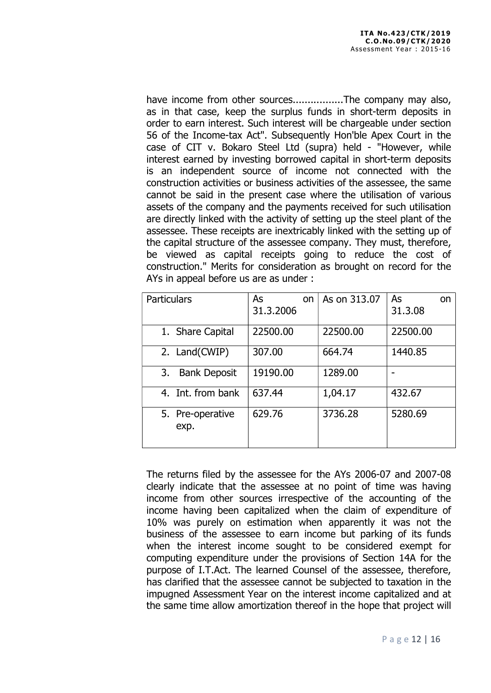have income from other sources..................The company may also, as in that case, keep the surplus funds in short-term deposits in order to earn interest. Such interest will be chargeable under section 56 of the Income-tax Act". Subsequently Hon'ble Apex Court in the case of CIT v. Bokaro Steel Ltd (supra) held - "However, while interest earned by investing borrowed capital in short-term deposits is an independent source of income not connected with the construction activities or business activities of the assessee, the same cannot be said in the present case where the utilisation of various assets of the company and the payments received for such utilisation are directly linked with the activity of setting up the steel plant of the assessee. These receipts are inextricably linked with the setting up of the capital structure of the assessee company. They must, therefore, be viewed as capital receipts going to reduce the cost of construction." Merits for consideration as brought on record for the AYs in appeal before us are as under :

| <b>Particulars</b>        | As<br>on<br>31, 3, 2006 | As on 313.07 | As<br>on<br>31.3.08 |
|---------------------------|-------------------------|--------------|---------------------|
| 1. Share Capital          | 22500.00                | 22500.00     | 22500.00            |
| 2. Land(CWIP)             | 307.00                  | 664.74       | 1440.85             |
| 3.<br><b>Bank Deposit</b> | 19190.00                | 1289.00      |                     |
| 4. Int. from bank         | 637.44                  | 1,04.17      | 432.67              |
| 5. Pre-operative<br>exp.  | 629.76                  | 3736.28      | 5280.69             |

The returns filed by the assessee for the AYs 2006-07 and 2007-08 clearly indicate that the assessee at no point of time was having income from other sources irrespective of the accounting of the income having been capitalized when the claim of expenditure of 10% was purely on estimation when apparently it was not the business of the assessee to earn income but parking of its funds when the interest income sought to be considered exempt for computing expenditure under the provisions of Section 14A for the purpose of I.T.Act. The learned Counsel of the assessee, therefore, has clarified that the assessee cannot be subjected to taxation in the impugned Assessment Year on the interest income capitalized and at the same time allow amortization thereof in the hope that project will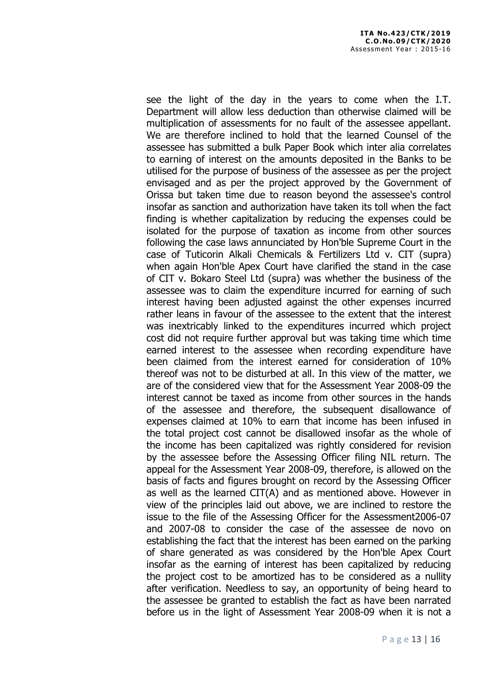see the light of the day in the years to come when the I.T. Department will allow less deduction than otherwise claimed will be multiplication of assessments for no fault of the assessee appellant. We are therefore inclined to hold that the learned Counsel of the assessee has submitted a bulk Paper Book which inter alia correlates to earning of interest on the amounts deposited in the Banks to be utilised for the purpose of business of the assessee as per the project envisaged and as per the project approved by the Government of Orissa but taken time due to reason beyond the assessee's control insofar as sanction and authorization have taken its toll when the fact finding is whether capitalization by reducing the expenses could be isolated for the purpose of taxation as income from other sources following the case laws annunciated by Hon'ble Supreme Court in the case of Tuticorin Alkali Chemicals & Fertilizers Ltd v. CIT (supra) when again Hon'ble Apex Court have clarified the stand in the case of CIT v. Bokaro Steel Ltd (supra) was whether the business of the assessee was to claim the expenditure incurred for earning of such interest having been adjusted against the other expenses incurred rather leans in favour of the assessee to the extent that the interest was inextricably linked to the expenditures incurred which project cost did not require further approval but was taking time which time earned interest to the assessee when recording expenditure have been claimed from the interest earned for consideration of 10% thereof was not to be disturbed at all. In this view of the matter, we are of the considered view that for the Assessment Year 2008-09 the interest cannot be taxed as income from other sources in the hands of the assessee and therefore, the subsequent disallowance of expenses claimed at 10% to earn that income has been infused in the total project cost cannot be disallowed insofar as the whole of the income has been capitalized was rightly considered for revision by the assessee before the Assessing Officer filing NIL return. The appeal for the Assessment Year 2008-09, therefore, is allowed on the basis of facts and figures brought on record by the Assessing Officer as well as the learned CIT(A) and as mentioned above. However in view of the principles laid out above, we are inclined to restore the issue to the file of the Assessing Officer for the Assessment2006-07 and 2007-08 to consider the case of the assessee de novo on establishing the fact that the interest has been earned on the parking of share generated as was considered by the Hon'ble Apex Court insofar as the earning of interest has been capitalized by reducing the project cost to be amortized has to be considered as a nullity after verification. Needless to say, an opportunity of being heard to the assessee be granted to establish the fact as have been narrated before us in the light of Assessment Year 2008-09 when it is not a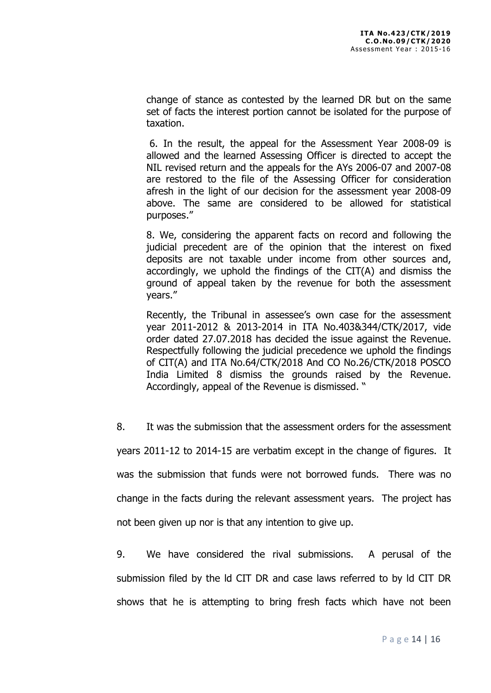change of stance as contested by the learned DR but on the same set of facts the interest portion cannot be isolated for the purpose of taxation.

 6. In the result, the appeal for the Assessment Year 2008-09 is allowed and the learned Assessing Officer is directed to accept the NIL revised return and the appeals for the AYs 2006-07 and 2007-08 are restored to the file of the Assessing Officer for consideration afresh in the light of our decision for the assessment year 2008-09 above. The same are considered to be allowed for statistical purposes."

8. We, considering the apparent facts on record and following the judicial precedent are of the opinion that the interest on fixed deposits are not taxable under income from other sources and, accordingly, we uphold the findings of the CIT(A) and dismiss the ground of appeal taken by the revenue for both the assessment years."

Recently, the Tribunal in assessee's own case for the assessment year 2011-2012 & 2013-2014 in ITA No.403&344/CTK/2017, vide order dated 27.07.2018 has decided the issue against the Revenue. Respectfully following the judicial precedence we uphold the findings of CIT(A) and ITA No.64/CTK/2018 And CO No.26/CTK/2018 POSCO India Limited 8 dismiss the grounds raised by the Revenue. Accordingly, appeal of the Revenue is dismissed. "

8. It was the submission that the assessment orders for the assessment

years 2011-12 to 2014-15 are verbatim except in the change of figures. It

was the submission that funds were not borrowed funds. There was no

change in the facts during the relevant assessment years. The project has

not been given up nor is that any intention to give up.

9. We have considered the rival submissions. A perusal of the submission filed by the ld CIT DR and case laws referred to by ld CIT DR shows that he is attempting to bring fresh facts which have not been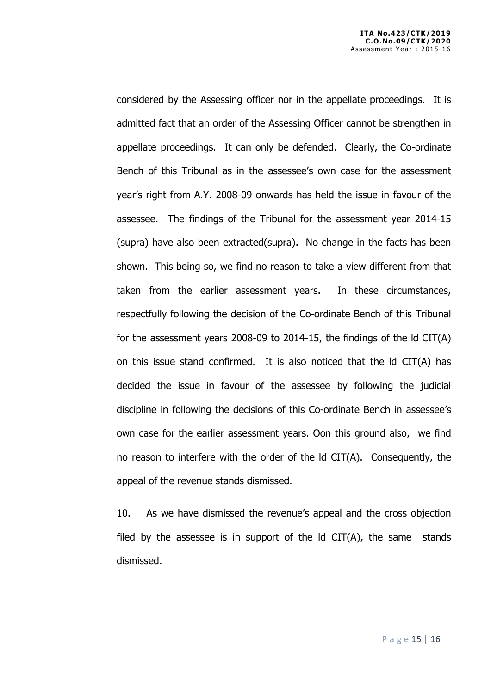considered by the Assessing officer nor in the appellate proceedings. It is admitted fact that an order of the Assessing Officer cannot be strengthen in appellate proceedings. It can only be defended. Clearly, the Co-ordinate Bench of this Tribunal as in the assessee's own case for the assessment year's right from A.Y. 2008-09 onwards has held the issue in favour of the assessee. The findings of the Tribunal for the assessment year 2014-15 (supra) have also been extracted(supra). No change in the facts has been shown. This being so, we find no reason to take a view different from that taken from the earlier assessment years. In these circumstances, respectfully following the decision of the Co-ordinate Bench of this Tribunal for the assessment years 2008-09 to 2014-15, the findings of the ld CIT(A) on this issue stand confirmed. It is also noticed that the ld CIT(A) has decided the issue in favour of the assessee by following the judicial discipline in following the decisions of this Co-ordinate Bench in assessee's own case for the earlier assessment years. Oon this ground also, we find no reason to interfere with the order of the ld CIT(A). Consequently, the appeal of the revenue stands dismissed.

10. As we have dismissed the revenue's appeal and the cross objection filed by the assessee is in support of the  $Id$  CIT(A), the same stands dismissed.